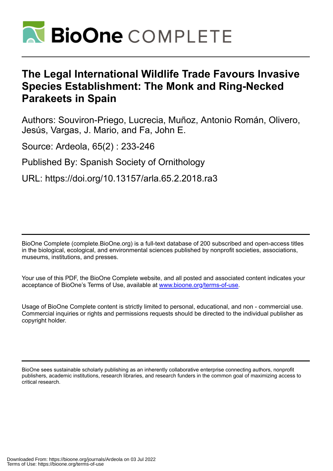

# **The Legal International Wildlife Trade Favours Invasive Species Establishment: The Monk and Ring-Necked Parakeets in Spain**

Authors: Souviron-Priego, Lucrecia, Muñoz, Antonio Román, Olivero, Jesús, Vargas, J. Mario, and Fa, John E.

Source: Ardeola, 65(2) : 233-246

Published By: Spanish Society of Ornithology

URL: https://doi.org/10.13157/arla.65.2.2018.ra3

BioOne Complete (complete.BioOne.org) is a full-text database of 200 subscribed and open-access titles in the biological, ecological, and environmental sciences published by nonprofit societies, associations, museums, institutions, and presses.

Your use of this PDF, the BioOne Complete website, and all posted and associated content indicates your acceptance of BioOne's Terms of Use, available at www.bioone.org/terms-of-use.

Usage of BioOne Complete content is strictly limited to personal, educational, and non - commercial use. Commercial inquiries or rights and permissions requests should be directed to the individual publisher as copyright holder.

BioOne sees sustainable scholarly publishing as an inherently collaborative enterprise connecting authors, nonprofit publishers, academic institutions, research libraries, and research funders in the common goal of maximizing access to critical research.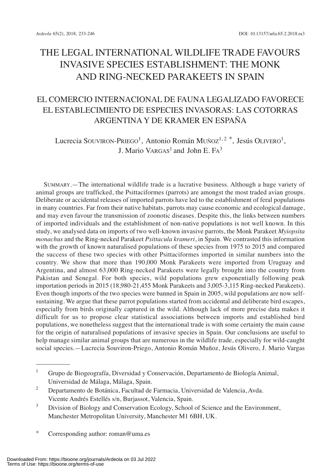# THE LEGAL INTERNATIONAL WILDLIFE TRADE FAVOURS INVASIVE SPECIES ESTABLISHMENT: THE MONK AND RING-NECKED PARAKEETS IN SPAIN

## EL COMERCIO INTERNACIONAL DE FAUNA LEGALIZADO FAVORECE EL ESTABLECIMIENTO DE ESPECIES INVASORAS: LAS COTORRAS ARGENTINA Y DE KRAMER EN ESPAÑA

Lucrecia SOUVIRON- $\text{PREGO}^1$ , Antonio Román MUÑOZ $^{1,\,2\,\,*}$ , Jesús OLIVERO $^1,$ J. Mario VARGAS<sup>1</sup> and John E.  $FA<sup>3</sup>$ 

SUMMARY.—The international wildlife trade is a lucrative business. Although a huge variety of animal groups are trafficked, the Psittaciformes (parrots) are amongst the most traded avian groups. Deliberate or accidental releases of imported parrots have led to the establishment of feral populations in many countries. Far from their native habitats, parrots may cause economic and ecological damage, and may even favour the transmission of zoonotic diseases. Despite this, the links between numbers of imported individuals and the establishment of non-native populations is not well known. In this study, we analysed data on imports of two well-known invasive parrots, the Monk Parakeet *Myiopsita monachus* and the Ring-necked Parakeet *Psittacula krameri*, in Spain. We contrasted this information with the growth of known naturalised populations of these species from 1975 to 2015 and compared the success of these two species with other Psittaciformes imported in similar numbers into the country. We show that more than 190,000 Monk Parakeets were imported from Uruguay and Argentina, and almost 63,000 Ring-necked Parakeets were legally brought into the country from Pakistan and Senegal. For both species, wild populations grew exponentially following peak importation periods in 2015 (18,980-21,455 Monk Parakeets and 3,005-3,115 Ring-necked Parakeets). Even though imports of the two species were banned in Spain in 2005, wild populations are now selfsustaining. We argue that these parrot populations started from accidental and deliberate bird escapes, especially from birds originally captured in the wild. Although lack of more precise data makes it difficult for us to propose clear statistical associations between imports and established bird populations, we nonetheless suggest that the international trade is with some certainty the main cause for the origin of naturalised populations of invasive species in Spain. Our conclusions are useful to help manage similar animal groups that are numerous in the wildlife trade, especially for wild-caught social species.—Lucrecia Souviron-Priego, Antonio Román Muñoz, Jesús Olivero, J. Mario Vargas

<sup>&</sup>lt;sup>1</sup> Grupo de Biogeografía, Diversidad y Conservación, Departamento de Biología Animal, Universidad de Málaga, Málaga, Spain.

<sup>2</sup> Departamento de Botánica, Facultad de Farmacia, Universidad de Valencia, Avda. Vicente Andrés Estellés s/n, Burjassot, Valencia, Spain.

<sup>&</sup>lt;sup>3</sup> Division of Biology and Conservation Ecology, School of Science and the Environment, Manchester Metropolitan University, Manchester M1 6BH, UK.

<sup>\*</sup> Corresponding author: roman@uma.es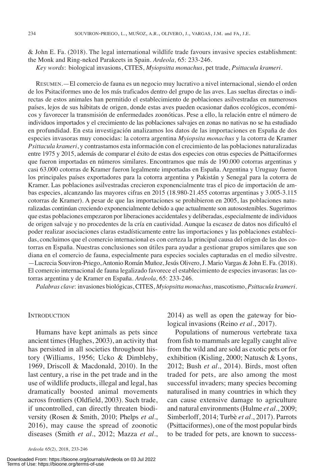& John E. Fa. (2018). The legal international wildlife trade favours invasive species establishment: the Monk and Ring-neked Parakeets in Spain. *Ardeola,* 65: 233-246.

*Key words*: biological invasions, CITES, *Myiopsitta monachus*, pet trade, *Psittacula krameri*.

RESUMEN.—El comercio de fauna es un negocio muy lucrativo a nivel internacional, siendo el orden de los Psitaciformes uno de los más traficados dentro del grupo de las aves. Las sueltas directas o indirectas de estos animales han permitido el establecimiento de poblaciones asilvestradas en numerosos países, lejos de sus hábitats de origen, donde estas aves pueden ocasionar daños ecológicos, económicos y favorecer la transmisión de enfermedades zoonóticas. Pese a ello, la relación entre el número de individuos importados y el crecimiento de las poblaciones salvajes en zonas no nativas no se ha estudiado en profundidad. En esta investigación analizamos los datos de las importaciones en España de dos especies invasoras muy conocidas: la cotorra argentina *Myiopsita monachus* y la cotorra de Kramer *Psittacula krameri*, y contrastamos esta información con el crecimiento de las poblaciones naturalizadas entre 1975 y 2015, además de comparar el éxito de estas dos especies con otras especies de Psittaciformes que fueron importadas en números similares. Encontramos que más de 190.000 cotorras argentinas y casi 63.000 cotorras de Kramer fueron legalmente importadas en España. Argentina y Uruguay fueron los principales países exportadores para la cotorra argentina y Pakistán y Senegal para la cotorra de Kramer. Las poblaciones asilvestradas crecieron exponencialmente tras el pico de importación de ambas especies, alcanzando las mayores cifras en 2015 (18.980-21.455 cotorras argentinas y 3.005-3.115 cotorras de Kramer). A pesar de que las importaciones se prohibieron en 2005, las poblaciones naturalizadas continúan creciendo exponencialmente debido a que actualmente son autosostenibles. Sugerimos que estas poblaciones empezaron por liberaciones accidentales y deliberadas, especialmente de individuos de origen salvaje y no procedentes de la cría en cautividad. Aunque la escasez de datos nos dificultó el poder realizar asociaciones claras estadísticamente entre las importaciones y las poblaciones establecidas, concluimos que el comercio internacional es con certeza la principal causa del origen de las dos cotorras en España. Nuestras conclusiones son útiles para ayudar a gestionar grupos similares que son diana en el comercio de fauna, especialmente para especies sociales capturadas en el medio silvestre. —Lucrecia Souviron-Priego,Antonio Román Muñoz,Jesús Olivero,J. Mario Vargas & John E. Fa. (2018). El comercio internacional de fauna legalizado favorece el establecimiento de especies invasoras: las cotorras argentina y de Kramer en España. *Ardeola,* 65: 233-246.

*Palabras clave*: invasiones biológicas, CITES, *Myiopsitta monachus*, mascotismo, *Psittacula krameri*.

#### **INTRODUCTION**

Humans have kept animals as pets since ancient times(Hughes, 2003), an activity that has persisted in all societies throughout history (Williams, 1956; Ucko & Dimbleby, 1969, Driscoll & Macdonald, 2010). In the last century, a rise in the pet trade and in the use of wildlife products, illegal and legal, has dramatically boosted animal movements across frontiers (Oldfield, 2003). Such trade, if uncontrolled, can directly threaten biodiversity (Rosen & Smith, 2010; Phelps *et al.*, 2016), may cause the spread of zoonotic diseases (Smith *et al.*, 2012; Mazza *et al*.,

Downloaded From: https://bioone.org/journals/Ardeola on 03 Jul 2022 Terms of Use: https://bioone.org/terms-of-use

2014) as well as open the gateway for biological invasions (Reino *et al.*, 2017).

Populations of numerous vertebrate taxa from fish to mammals are legally caught alive from the wild and are sold as exotic pets or for exhibition (Kisling, 2000; Natusch & Lyons, 2012; Bush *et al.*, 2014). Birds, most often traded for pets, are also among the most successful invaders; many species becoming naturalised in many countries in which they can cause extensive damage to agriculture and natural environments(Hulme *et al.*, 2009; Simberloff, 2014; Turbè *et al*., 2017). Parrots (Psittaciformes), one of the most popular birds to be traded for pets, are known to success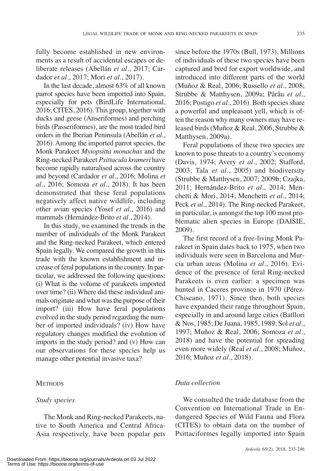fully become established in new environments as a result of accidental escapes or deliberate releases (Abellán *et al.*, 2017; Cardador *et al.*, 2017; Mori *et al.*, 2017).

In the last decade, almost 63% of all known parrot species have been imported into Spain, especially for pets (BirdLife International, 2016; CITES, 2016). This group, together with ducks and geese (Anseriformes) and perching birds (Passeriformes), are the most traded bird orders in the Iberian Peninsula (Abellán *et al.*, 2016). Among the imported parrot species, the Monk Parakeet *Myiopsitta monachus* and the Ring-necked Parakeet *Psittacula krameri* have become rapidly naturalised across the country and beyond (Cardador *et al.*, 2016; Molina *et al.*, 2016; Somoza *et al.*, 2018). It has been demonstrated that these feral populations negatively affect native wildlife, including other avian species (Yosef *et al*., 2016) and mammals (Hernández-Brito *et al.*, 2014).

In this study, we examined the trends in the number of individuals of the Monk Parakeet and the Ring-necked Parakeet, which entered Spain legally. We compared the growth in this trade with the known establishment and increase of feral populations in the country. In particular, we addressed the following questions: (i) What is the volume of parakeets imported over time? (ii) Where did these individual animals originate and what was the purpose of their import? (iii) How have feral populations evolved in the study period regarding the number of imported individuals? (iv) How have regulatory changes modified the evolution of imports in the study period? and (v) How can our observations for these species help us manage other potential invasive taxa?

### **METHODS**

## *Study species*

The Monk and Ring-necked Parakeets, native to South America and Central Africa-Asia respectively, have been popular pets since before the 1970s (Bull, 1973). Millions of individuals of these two species have been captured and bred for export worldwide, and introduced into different parts of the world (Muñoz & Real, 2006; Russello *et al.*, 2008; Strubbe & Matthysen, 2009a; Pârâu *et al.*, 2016; Postigo *et al.*, 2016). Both species share a powerful and unpleasant yell, which is often the reason why many owners may have released birds(Muñoz & Real, 2006, Strubbe & Matthysen, 2009a).

Feral populations of these two species are known to pose threats to a country's economy (Davis, 1974; Avery *et al.*, 2002; Stafford, 2003; Tala *et al.*, 2005) and biodiversity (Strubbe & Matthysen, 2007; 2009b; Czajka, 2011; Hernández-Brito *et al.*, 2014; Menchetti & Mori, 2014; Menchetti *et al.*, 2014; Peck *et al.*, 2014). The Ring-necked Parakeet, in particular, is amongst the top 100 most problematic alien species in Europe (DAISIE, 2009).

The first record of a free-living Monk Parakeet in Spain dates back to 1975, when two individuals were seen in Barcelona and Murcia urban areas (Molina *et al.*, 2016). Evidence of the presence of feral Ring-necked Parakeets is even earlier: a specimen was hunted in Caceres province in 1970 (Pérez-Chiscano, 1971). Since then, both species have expanded their range throughout Spain, especially in and around large cities (Batllori & Nos, 1985; De Juana, 1985, 1989; Sol *et al.*, 1997; Muñoz & Real, 2006; Somoza *et al.*, 2018) and have the potential for spreading even more widely (Real *et al.*, 2008; Muñoz, 2016; Muñoz *et al.*, 2018).

## *Data collection*

We consulted the trade database from the Convention on International Trade in Endangered Species of Wild Fauna and Flora (CITES) to obtain data on the number of Psittaciformes legally imported into Spain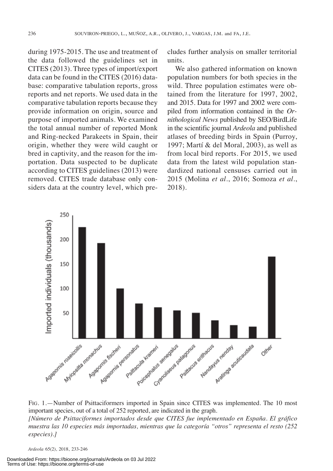during 1975-2015. The use and treatment of the data followed the guidelines set in CITES (2013). Three types of import/export data can be found in the CITES (2016) database: comparative tabulation reports, gross reports and net reports. We used data in the comparative tabulation reports because they provide information on origin, source and purpose of imported animals. We examined the total annual number of reported Monk and Ring-necked Parakeets in Spain, their origin, whether they were wild caught or bred in captivity, and the reason for the importation. Data suspected to be duplicate according to CITES guidelines (2013) were removed. CITES trade database only considers data at the country level, which precludes further analysis on smaller territorial units.

We also gathered information on known population numbers for both species in the wild. Three population estimates were obtained from the literature for 1997, 2002, and 2015. Data for 1997 and 2002 were compiled from information contained in the *Ornithological News* published by SEO/BirdLife in the scientific journal *Ardeola* and published atlases of breeding birds in Spain (Purroy, 1997; Martí & del Moral, 2003), as well as from local bird reports. For 2015, we used data from the latest wild population standardized national censuses carried out in 2015 (Molina *et al.*, 2016; Somoza *et al.*, 2018).



FIG. 1.—Number of Psittaciformers imported in Spain since CITES was implemented. The 10 most important species, out of a total of 252 reported, are indicated in the graph. *[Número de Psittaciformes importados desde que CITES fue implementado en España. El gráfico muestra las 10 especies más importadas, mientras que la categoría "otros" representa el resto (252 especies).]*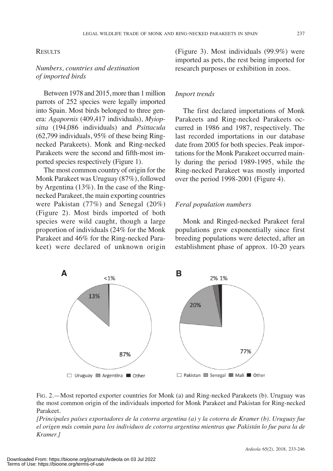#### LEGAL WILDLIFE TRADE OF MONK AND RING-NECKED PARAKEETS IN SPAIN 237

#### **RESULTS**

## *Numbers, countries and destination of imported birds*

Between 1978 and 2015, more than 1 million parrots of 252 species were legally imported into Spain. Most birds belonged to three genera: *Agapornis* (409,417 individuals), *Myiopsitta* (194,086 individuals) and *Psittacula* (62,799 individuals, 95% of these being Ringnecked Parakeets). Monk and Ring-necked Parakeets were the second and fifth-most imported species respectively (Figure 1).

The most common country of origin for the Monk Parakeet was Uruguay (87%), followed by Argentina (13%). In the case of the Ringnecked Parakeet, the main exporting countries were Pakistan (77%) and Senegal (20%) (Figure 2). Most birds imported of both species were wild caught, though a large proportion of individuals (24% for the Monk Parakeet and 46% for the Ring-necked Parakeet) were declared of unknown origin

(Figure 3). Most individuals (99.9%) were imported as pets, the rest being imported for research purposes or exhibition in zoos.

#### *Import trends*

The first declared importations of Monk Parakeets and Ring-necked Parakeets occurred in 1986 and 1987, respectively. The last recorded importations in our database date from 2005 for both species. Peak importations for the Monk Parakeet occurred mainly during the period 1989-1995, while the Ring-necked Parakeet was mostly imported over the period 1998-2001 (Figure 4).

### *Feral population numbers*

Monk and Ringed-necked Parakeet feral populations grew exponentially since first breeding populations were detected, after an establishment phase of approx. 10-20 years





*[Principales países exportadores de la cotorra argentina (a) y la cotorra de Kramer (b). Uruguay fue* el origen más común para los individuos de cotorra argentina mientras que Pakistán lo fue para la de *Kramer.]*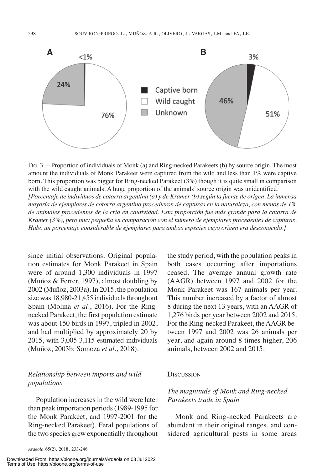

FIG. 3.—Proportion of individuals of Monk (a) and Ring-necked Parakeets (b) by source origin. The most amount the individuals of Monk Parakeet were captured from the wild and less than 1% were captive born. This proportion was bigger for Ring-necked Parakeet (3%) though it is quite small in comparison with the wild caught animals. A huge proportion of the animals' source origin was unidentified. [Porcentaje de individuos de cotorra argentina (a) y de Kramer (b) según la fuente de origen. La inmensa *mayoría de ejemplares de cotorra argentina procedieron de capturas en la naturaleza, con menos de 1% de animales procedentes de la cría en cautividad. Esta proporción fue más grande para la cotorra de Kramer (3%), pero muy pequeña en comparación con el número de ejemplares procedentes de capturas. Hubo un porcentaje considerable de ejemplares para ambas especies cuyo origen era desconocido.]*

since initial observations. Original population estimates for Monk Parakeet in Spain were of around 1,300 individuals in 1997 (Muñoz & Ferrer, 1997), almost doubling by 2002 (Muñoz, 2003a). In 2015, the population size was 18,980-21,455 individuals throughout Spain (Molina *et al.*, 2016). For the Ringnecked Parakeet, the first population estimate was about 150 birds in 1997, tripled in 2002, and had multiplied by approximately 20 by 2015, with 3,005-3,115 estimated individuals (Muñoz, 2003b; Somoza *et al.*, 2018).

## *Relationship between imports and wild populations*

Population increases in the wild were later than peak importation periods(1989-1995 for the Monk Parakeet, and 1997-2001 for the Ring-necked Parakeet). Feral populations of the two species grew exponentially throughout

Downloaded From: https://bioone.org/journals/Ardeola on 03 Jul 2022 Terms of Use: https://bioone.org/terms-of-use

the study period, with the population peaks in both cases occurring after importations ceased. The average annual growth rate (AAGR) between 1997 and 2002 for the Monk Parakeet was 167 animals per year. This number increased by a factor of almost 8 during the next 13 years, with an AAGR of 1,276 birds per year between 2002 and 2015. For the Ring-necked Parakeet, the AAGR between 1997 and 2002 was 26 animals per year, and again around 8 times higher, 206 animals, between 2002 and 2015.

## **DISCUSSION**

## *The magnitude of Monk and Ring-necked Parakeets trade in Spain*

Monk and Ring-necked Parakeets are abundant in their original ranges, and considered agricultural pests in some areas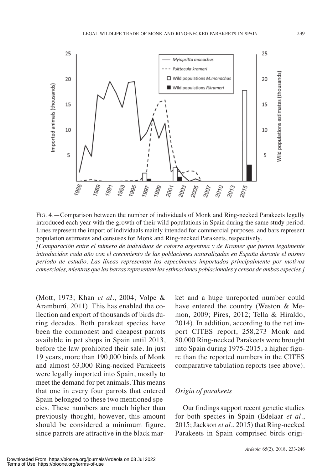

FIG. 4.—Comparison between the number of individuals of Monk and Ring-necked Parakeets legally introduced each year with the growth of their wild populations in Spain during the same study period. Lines represent the import of individuals mainly intended for commercial purposes, and bars represent population estimates and censuses for Monk and Ring-necked Parakeets, respectively.

*[Comparación entre el número de individuos de cotorra argentina y de Kramer que fueron legalmente introducidos cada año con el crecimiento de las poblaciones naturalizadas en España durante el mismo periodo de estudio. Las líneas representan los especímenes importados principalmente por motivos comerciales, mientras que las barrasrepresentan las estimaciones poblacionales y censos de ambas especies.]*

(Mott, 1973; Khan *et al.*, 2004; Volpe & Aramburú, 2011). This has enabled the collection and export of thousands of birds during decades. Both parakeet species have been the commonest and cheapest parrots available in pet shops in Spain until 2013, before the law prohibited their sale. In just 19 years, more than 190,000 birds of Monk and almost 63,000 Ring-necked Parakeets were legally imported into Spain, mostly to meet the demand for pet animals. This means that one in every four parrots that entered Spain belonged to these two mentioned species. These numbers are much higher than previously thought, however, this amount should be considered a minimum figure, since parrots are attractive in the black mar-

ket and a huge unreported number could have entered the country (Weston & Memon, 2009; Pires, 2012; Tella & Hiraldo, 2014). In addition, according to the net import CITES report, 258,273 Monk and 80,000 Ring-necked Parakeets were brought into Spain during 1975-2015, a higher figure than the reported numbers in the CITES comparative tabulation reports (see above).

### *Origin of parakeets*

Our findings support recent genetic studies for both species in Spain (Edelaar *et al.*, 2015; Jackson *et al.*, 2015) that Ring-necked Parakeets in Spain comprised birds origi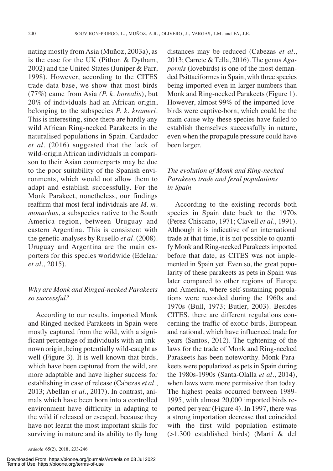nating mostly from Asia (Muñoz, 2003a), as is the case for the UK (Pithon & Dytham, 2002) and the United States (Juniper & Parr, 1998). However, according to the CITES trade data base, we show that most birds (77%) came from Asia *(P. k. borealis*), but 20% of individuals had an African origin, belonging to the subspecies *P. k. krameri.* This is interesting, since there are hardly any wild African Ring-necked Parakeets in the naturalised populations in Spain. Cardador *et al.* (2016) suggested that the lack of wild-origin African individuals in comparison to their Asian counterparts may be due to the poor suitability of the Spanish environments, which would not allow them to adapt and establish successfully. For the Monk Parakeet, nonetheless, our findings reaffirm that most feral individuals are *M. m. monachus*, a subspecies native to the South America region, between Uruguay and eastern Argentina. This is consistent with the genetic analyses by Rusello *et al.* (2008). Uruguay and Argentina are the main exporters for this species worldwide (Edelaar *et al.*, 2015).

## *Why are Monk and Ringed-necked Parakeets so successful?*

According to our results, imported Monk and Ringed-necked Parakeets in Spain were mostly captured from the wild, with a significant percentage of individuals with an unknown origin, being potentially wild-caught as well (Figure 3). It is well known that birds, which have been captured from the wild, are more adaptable and have higher success for establishing in case of release (Cabezas *et al.*, 2013; Abellan *et al.*, 2017). In contrast, animals which have been born into a controlled environment have difficulty in adapting to the wild if released or escaped, because they have not learnt the most important skills for surviving in nature and its ability to fly long

Downloaded From: https://bioone.org/journals/Ardeola on 03 Jul 2022 Terms of Use: https://bioone.org/terms-of-use

distances may be reduced (Cabezas *et al.*, 2013; Carrete & Tella, 2016). The genus *Agapornis* (lovebirds) is one of the most demanded Psittaciformes in Spain, with three species being imported even in larger numbers than Monk and Ring-necked Parakeets (Figure 1). However, almost 99% of the imported lovebirds were captive-born, which could be the main cause why these species have failed to establish themselves successfully in nature, even when the propagule pressure could have been larger.

## *The evolution of Monk and Ring-necked Parakeets trade and feral populations in Spain*

According to the existing records both species in Spain date back to the 1970s (Perez-Chiscano, 1971; Clavell *et al.*, 1991). Although it is indicative of an international trade at that time, it is not possible to quantify Monk and Ring-necked Parakeetsimported before that date, as CITES was not implemented in Spain yet. Even so, the great popularity of these parakeets as pets in Spain was later compared to other regions of Europe and America, where self-sustaining populations were recorded during the 1960s and 1970s (Bull, 1973; Butler, 2003). Besides CITES, there are different regulations concerning the traffic of exotic birds, European and national, which have influenced trade for years (Santos, 2012). The tightening of the laws for the trade of Monk and Ring-necked Parakeets has been noteworthy. Monk Parakeets were popularized as pets in Spain during the 1980s-1990s (Santa-Olalla *et al.*, 2014), when laws were more permissive than today. The highest peaks occurred between 1989- 1995, with almost 20,000 imported birds reported per year (Figure 4). In 1997, there was a strong importation decrease that coincided with the first wild population estimate (>1.300 established birds) (Martí & del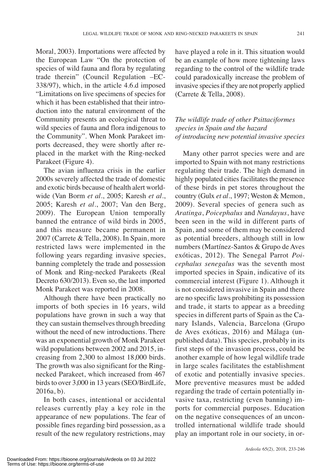Moral, 2003). Importations were affected by the European Law "On the protection of species of wild fauna and flora by regulating trade therein" (Council Regulation –EC-338/97), which, in the article 4.6.d imposed "Limitations on live specimens of species for which it has been established that their introduction into the natural environment of the Community presents an ecological threat to wild species of fauna and flora indigenous to the Community". When Monk Parakeet imports decreased, they were shortly after replaced in the market with the Ring-necked Parakeet (Figure 4).

The avian influenza crisis in the earlier 2000s severely affected the trade of domestic and exotic birds because of health alert worldwide (Van Borm *et al.*, 2005; Karesh *et al.*, 2005; Karesh *et al.*, 2007; Van den Berg, 2009). The European Union temporally banned the entrance of wild birds in 2005, and this measure became permanent in 2007 (Carrete & Tella, 2008). In Spain, more restricted laws were implemented in the following years regarding invasive species, banning completely the trade and possession of Monk and Ring-necked Parakeets (Real Decreto 630/2013). Even so, the last imported Monk Parakeet was reported in 2008.

Although there have been practically no imports of both species in 16 years, wild populations have grown in such a way that they can sustain themselves through breeding without the need of new introductions. There was an exponential growth of Monk Parakeet wild populations between 2002 and 2015, increasing from 2,300 to almost 18,000 birds. The growth was also significant for the Ringnecked Parakeet, which increased from 467 birds to over 3,000 in 13 years (SEO/BirdLife, 2016a, b).

In both cases, intentional or accidental releases currently play a key role in the appearance of new populations. The fear of possible fines regarding bird possession, as a result of the new regulatory restrictions, may

have played a role in it. This situation would be an example of how more tightening laws regarding to the control of the wildlife trade could paradoxically increase the problem of invasive species if they are not properly applied (Carrete & Tella, 2008).

## *The wildlife trade of other Psittaciformes species in Spain and the hazard of introducing new potential invasive species*

Many other parrot species were and are imported to Spain with not many restrictions regulating their trade. The high demand in highly populated cities facilitates the presence of these birds in pet stores throughout the country (Gulx *et al.*, 1997; Weston & Memon, 2009). Several species of genera such as *Aratinga*, *Poicephalus* and *Nandayus*, have been seen in the wild in different parts of Spain, and some of them may be considered as potential breeders, although still in low numbers (Martínez-Santos & Grupo de Aves exóticas, 2012). The Senegal Parrot *Poicephalus senegalus* was the seventh most imported species in Spain, indicative of its commercial interest (Figure 1). Although it is not considered invasive in Spain and there are no specific laws prohibiting its possession and trade, it starts to appear as a breeding species in different parts of Spain as the Canary Islands, Valencia, Barcelona (Grupo de Aves exóticas, 2016) and Málaga (unpublished data). This species, probably in its first steps of the invasion process, could be another example of how legal wildlife trade in large scales facilitates the establishment of exotic and potentially invasive species. More preventive measures must be added regarding the trade of certain potentially invasive taxa, restricting (even banning) imports for commercial purposes. Education on the negative consequences of an uncontrolled international wildlife trade should play an important role in our society, in or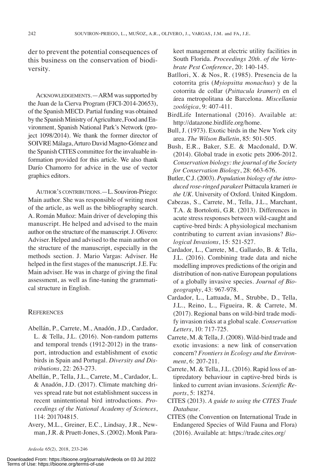der to prevent the potential consequences of this business on the conservation of biodiversity.

ACKNOWLEDGEMENTS.—ARM was supported by the Juan de la Cierva Program (FJCI-2014-20653), of the Spanish MECD. Partial funding was obtained by the Spanish Ministry of Agriculture, Food and Environment, Spanish National Park's Network (project 1098/2014). We thank the former director of SOIVRE Málaga,Arturo David Magno-Gómez and the Spanish CITES committee for the invaluable information provided for this article. We also thank Darío Chamorro for advice in the use of vector graphics editors.

AUTHOR'S CONTRIBUTIONS.—L. Souviron-Priego: Main author. She was responsible of writing most of the article, as well as the bibliography search. A. Román Muñoz: Main driver of developing this manuscript. He helped and advised to the main author on the structure of the manuscript. J. Olivero: Adviser. Helped and advised to the main author on the structure of the manuscript, especially in the methods section. J. Mario Vargas: Adviser. He helped in the first stages of the manuscript. J.E. Fa: Main adviser. He was in charge of giving the final assessment, as well as fine-tuning the grammatical structure in English.

#### **REFERENCES**

- Abellán, P., Carrete, M., Anadón, J.D., Cardador, L. & Tella, J.L. (2016). Non-random patterns and temporal trends (1912-2012) in the transport, introduction and establishment of exotic birds in Spain and Portugal. *Diversity and Distributions*, 22: 263-273.
- Abellán, P., Tella, J.L., Carrete, M., Cardador, L. & Anadón, J.D. (2017). Climate matching drives spread rate but not establishment success in recent unintentional bird introductions. *Proceedings of the National Academy of Sciences*, 114: 201704815.
- Avery, M.L., Greiner, E.C., Lindsay, J.R., Newman,J.R. & Pruett-Jones, S. (2002). Monk Para-

Downloaded From: https://bioone.org/journals/Ardeola on 03 Jul 2022 Terms of Use: https://bioone.org/terms-of-use

keet management at electric utility facilities in South Florida. *Proceedings 20th. of the Vertebrate Pest Conference*, 20: 140-145.

- Batllori, X. & Nos, R. (1985). Presencia de la cotorrita gris (*Myiopsitta monachus*) y de la cotorrita de collar (*Psittacula krameri*) en el área metropolitana de Barcelona. *Miscellania zoológica*, 9: 407-411.
- BirdLife International (2016). Available at: http://datazone.birdlife.org/home.
- Bull, J. (1973). Exotic birds in the New York city area. *The Wilson Bulletin*, 85: 501-505.
- Bush, E.R., Baker, S.E. & Macdonald, D.W. (2014). Global trade in exotic pets 2006-2012. *Conservation biology: the journal of the Society for Conservation Biology*, 28: 663-676.
- Butler, C.J. (2003). *Population biology of the introduced rose-ringed parakeet* Psittacula krameri *in the UK.* University of Oxford. United Kingdom.
- Cabezas, S., Carrete, M., Tella, J.L., Marchant, T.A. & Bortolotti, G.R. (2013). Differences in acute stress responses between wild-caught and captive-bred birds: A physiological mechanism contributing to current avian invasions? *Biological Invasions*, 15: 521-527.
- Cardador, L., Carrete, M., Gallardo, B. & Tella, J.L. (2016). Combining trade data and niche modelling improves predictions of the origin and distribution of non-native European populations of a globally invasive species. *Journal of Biogeography*, 43: 967-978.
- Cardador, L., Lattuada, M., Strubbe, D., Tella, J.L., Reino, L., Figueira, R. & Carrete, M. (2017). Regional bans on wild-bird trade modify invasion risks at a global scale. *Conservation Letters*, 10: 717-725.
- Carrete, M. & Tella,J. (2008). Wild-bird trade and exotic invasions: a new link of conservation concern? *Frontiers in Ecology and the Environment*, 6: 207-211.
- Carrete, M. & Tella, J.L. (2016). Rapid loss of antipredatory behaviour in captive-bred birds is linked to current avian invasions. *Scientific Reports*, 5: 18274.
- CITES (2013). *A guide to using the CITES Trade Database*.
- CITES (the Convention on International Trade in Endangered Species of Wild Fauna and Flora) (2016). Available at: https://trade.cites.org/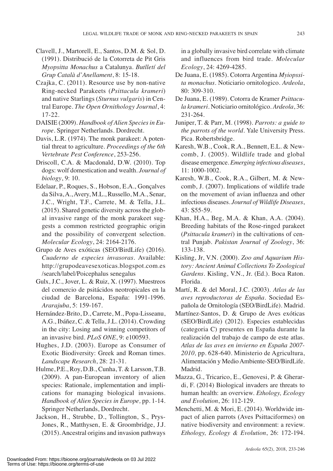- Clavell, J., Martorell, E., Santos, D.M. & Sol, D. (1991). Distribució de la Cotorreta de Pit Gris *Myopsitta Monachus* a Catalunya. *Butlletí del Grup Català d'Anellament*, 8: 15-18.
- Czajka, C. (2011). Resource use by non-native Ring-necked Parakeets (*Psittacula krameri*) and native Starlings (*Sturnus vulgaris*) in Central Europe. *The Open Ornithology Journal*, 4: 17-22.
- DAISIE (2009). *Handbook of Alien Speciesin Europe.* Springer Netherlands. Dordrecht.
- Davis, L.R. (1974). The monk parakeet: A potential threat to agriculture. *Proceedings of the 6th Vertebrate Pest Conference*, 253-256.
- Driscoll, C.A. & Macdonald, D.W. (2010). Top dogs: wolf domestication and wealth. *Journal of biology*, 9: 10.
- Edelaar, P., Roques, S., Hobson, E.A., Gonçalves da Silva,A.,Avery, M.L., Russello, M.A., Senar, J.C., Wright, T.F., Carrete, M. & Tella, J.L.  $(2015)$ . Shared genetic diversity across the global invasive range of the monk parakeet suggests a common restricted geographic origin and the possibility of convergent selection. *Molecular Ecology*, 24: 2164-2176.
- Grupo de Aves exóticas (SEO/BirdLife) (2016). *Cuaderno de especies invasoras*. Available: http://grupodeavesexoticas.blogspot.com.es /search/label/Poicephalus senegalus
- Gulx, J.C., Jover, L. & Ruiz, X. (1997). Muestreos del comercio de psitácidos neotropicales en la ciudad de Barcelona, España: 1991-1996. *Ararajuba*, 5: 159-167.
- Hernández-Brito, D., Carrete, M., Popa-Lisseanu, A.G., Ibáñez, C. & Tella, J.L. (2014). Crowding in the city: Losing and winning competitors of an invasive bird. *PLoS ONE*, 9: e100593.
- Hughes, J.D. (2003). Europe as Consumer of Exotic Biodiversity: Greek and Roman times. *Landscape Research*, 28: 21-31.
- Hulme, P.E., Roy, D.B., Cunha, T. & Larsson, T.B. (2009). A pan-European inventory of alien species: Rationale, implementation and implications for managing biological invasions. *Handbook of Alien Species in Europe,* pp. 1-14. Springer Netherlands, Dordrecht.
- Jackson, H., Strubbe, D., Tollington, S., Prys-Jones, R., Matthysen, E. & Groombridge, J.J. (2015).Ancestral origins and invasion pathways

in a globally invasive bird correlate with climate and influences from bird trade. *Molecular Ecology*, 24: 4269-4285.

- De Juana, E. (1985). Cotorra Argentina *Myiopssita monachus*. Noticiario ornitologico. *Ardeola*, 80: 309-310.
- De Juana, E. (1989). Cotorra de Kramer *Psittacula krameri.* Noticiario ornitológico. *Ardeola*, 36: 231-264.
- Juniper, T. & Parr, M. (1998). *Parrots: a guide to the parrots of the world.* Yale University Press. Pica. Robertsbridge.
- Karesh, W.B., Cook, R.A., Bennett, E.L. & Newcomb, J. (2005). Wildlife trade and global disease emergence. *Emerging infectious diseases*, 11: 1000-1002.
- Karesh, W.B., Cook, R.A., Gilbert, M. & Newcomb, J. (2007). Implications of wildlife trade on the movement of avian influenza and other infectious diseases. *Journal of Wildlife Diseases*, 43: S55-59.
- Khan, H.A., Beg, M.A. & Khan, A.A. (2004). Breeding habitats of the Rose-ringed parakeet (*Psittacula krameri*) in the cultivations of central Punjab. *Pakistan Journal of Zoology*, 36: 133-138.
- Kisling, Jr, V.N. (2000). *Zoo and Aquarium History: Ancient Animal Collections To Zoological Gardens.* Kisling, V.N., Jr. (Ed.). Boca Raton. Florida.
- Martí, R. & del Moral, J.C. (2003). *Atlas de las aves reproductoras de España.* Sociedad Española de Ornitología (SEO/BirdLife). Madrid.
- Martínez-Santos, D. & Grupo de Aves exóticas (SEO/BirdLife) (2012). Especies establecidas (categoria C) presentes en España durante la realización del trabajo de campo de este atlas. *Atlas de las aves en invierno en España 2007- 2010,* pp. 628-640. Ministerio de Agricultura, Alimentación y MedioAmbiente-SEO/BirdLife. Madrid.
- Mazza, G., Tricarico, E., Genovesi, P. & Gherardi, F. (2014) Biological invaders are threats to human health: an overview. *Ethology, Ecology and Evolution*, 26: 112-129.
- Menchetti, M. & Mori, E. (2014). Worldwide impact of alien parrots (Aves Psittaciformes) on native biodiversity and environment: a review. *Ethology, Ecology & Evolution*, 26: 172-194.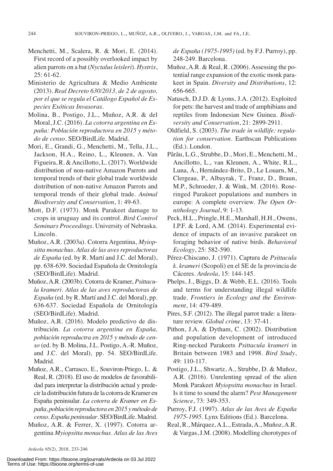- Menchetti, M., Scalera, R. & Mori, E. (2014). First record of a possibly overlooked impact by alien parrots on a bat (*Nyctalusleisleri*). *Hystrix*, 25: 61-62.
- Ministerio de Agricultura & Medio Ambiente (2013). *Real Decreto 630/2013, de 2 de agosto, por el que se regula el Catálogo Español de Especies Exóticas Invasoras*.
- Molina, B., Postigo, J.L., Muñoz, A.R. & del Moral, J.C. (2016). *La cotorra argentina en España: Población reproductora en 2015 y método de censo.* SEO/BirdLife. Madrid.
- Mori, E., Grandi, G., Menchetti, M., Tella, J.L., Jackson, H.A., Reino, L., Kleunen, A. Van Figueira, R. & Ancillotto, L. (2017). Worldwide distribution of non-native Amazon Parrots and temporal trends of their global trade worldwide distribution of non-native Amazon Parrots and temporal trends of their global trade. *Animal Biodiversity and Conservation*, 1: 49-63.
- Mott, D.F. (1973). Monk Parakeet damage to crops in uruguay and its control. *Bird Control Seminars Proceedings*. University of Nebraska. Lincoln.
- Muñoz, A.R. (2003a). Cotorra Argentina, *Myiopsitta monachus*. *Atlas de las aves reproductoras de España* (ed. by R. Martí and J.C. del Moral), pp. 638-639. Sociedad Española de Ornitología (SEO/BirdLife). Madrid.
- Muñoz, A.R. (2003b). Cotorra de Kramer, *Psittacula krameri*. *Atlas de las aves reproductoras de España* (ed. by R. Martí and J.C. del Moral), pp. 636-637. Sociedad Española de Ornitología (SEO/BirdLife). Madrid.
- Muñoz, A.R. (2016). Modelo predictivo de distribución. *La cotorra argentina en España, población reproductra en 2015 y método de censo* (ed. by B. Molina, J.L. Postigo, A.-R. Muñoz, and J.C. del Moral), pp. 54. SEO/BirdLife. Madrid.
- Muñoz, A.R., Carrasco, E., Souviron-Priego, L. & Real, R. (2018). El uso de modelos de favorabilidad para interpretar la distribución actual y predecirla distribución futura de la cotorra deKramer en España peninsular. *La cotorra de Kramer en España, población reproductora en 2015 ymétodo de censo. España peninsular*. SEO/BirdLife. Madrid.
- Muñoz, A.R. & Ferrer, X. (1997). Cotorra argentina *Myiopsitta monachus*. *Atlas de las Aves*
- Muñoz, A.R. & Real, R. (2006). Assessing the potential range expansion of the exotic monk parakeet in Spain. *Diversity and Distributions*, 12: 656-665.
- Natusch, D.J.D. & Lyons, J.A. (2012). Exploited for pets: the harvest and trade of amphibians and reptiles from Indonesian New Guinea. *Biodiversity and Conservation*, 21: 2899-2911.
- Oldfield, S. (2003). *The trade in wildlife: regulation for conservation.* Earthscan Publications (Ed.). London.
- Pârâu, L.G., Strubbe, D., Mori, E., Menchetti, M., Ancillotto, L., van Kleunen, A., White, R.L., Luna, Á., Hernández-Brito, D., Le Louarn, M., Clergeau, P., Albayrak, T., Franz, D., Braun, M.P., Schroeder, J. & Wink, M. (2016). Roseringed Parakeet populations and numbers in europe: A complete overview. *The Open Ornithology Journal*, 9: 1-13.
- Peck, H.L., Pringle, H.E., Marshall, H.H., Owens, I.P.F. & Lord, A.M. (2014). Experimental evidence of impacts of an invasive parakeet on foraging behavior of native birds. *Behavioral Ecology*, 25: 582-590.
- Pérez-Chiscano, J. (1971). Captura de *Psittacula k. krameri* (Scopoli) en el SE de la provincia de Cáceres. *Ardeola*, 15: 144-145.
- Phelps, J., Biggs, D. & Webb, E.L. (2016). Tools and terms for understanding illegal wildlife trade. *Frontiers in Ecology and the Environment*, 14: 479-489.
- Pires, S.F. (2012). The illegal parrot trade: a literature review. *Global crime*, 13: 37-41.
- Pithon, J.A. & Dytham, C. (2002). Distribution and population development of introduced Ring-necked Parakeets *Psittacula krameri* in Britain between 1983 and 1998. *Bird Study*, 49: 110-117.
- Postigo, J.L., Shwartz, A., Strubbe, D. & Muñoz, A.R. (2016). Unrelenting spread of the alien Monk Parakeet *Myiopsitta monachus* in Israel. Is it time to sound the alarm? *Pest Management Science*, 73: 349-353.
- Purroy, F.J. (1997). *Atlas de las Aves de España 1975-1995.* Lynx Editions (Ed.). Barcelona.
- Real, R., Márquez,A.L., Estrada,A., Muñoz,A.R. & Vargas,J.M. (2008). Modelling chorotypes of

Downloaded From: https://bioone.org/journals/Ardeola on 03 Jul 2022 Terms of Use: https://bioone.org/terms-of-use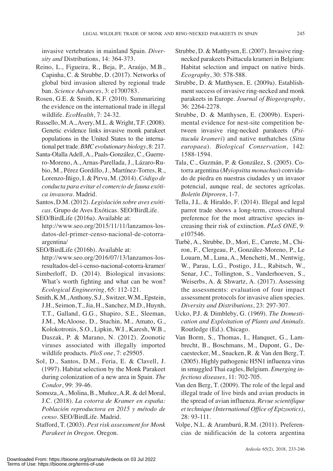invasive vertebrates in mainland Spain. *Diversity and* Distributions, 14: 364-373.

- Reino, L., Figueira, R., Beja, P., Araújo, M.B., Capinha, C. & Strubbe, D. (2017). Networks of global bird invasion altered by regional trade ban. *Science Advances*, 3: e1700783.
- Rosen, G.E. & Smith, K.F. (2010). Summarizing the evidence on the international trade in illegal wildlife. *EcoHealth*, 7: 24-32.
- Russello, M.A.,Avery, M.L. & Wright, T.F. (2008). Genetic evidence links invasive monk parakeet populations in the United States to the international pet trade.*BMCevolutionary biology*, 8: 217.
- Santa-Olalla Adell, A., Paals-González, C., Guerrero-Moreno, A., Arnas-Parellada, J., Lázaro-Rubio, M., Pérez Gordillo, J., Martínez-Torres, R., Lorenzo-Íñigo, I. & Pirvu, M. (2014). *Código de conducta para evitar el comercio de fauna exótica invasora*. Madrid.
- Santos, D.M. (2012). *Legislación sobre aves exóticas*. Grupo de Aves Exóticas. SEO/BirdLife.
- SEO/BirdLife (2016a). Available at: http://www.seo.org/2015/11/11/lanzamos-losdatos-del-primer-censo-nacional-de-cotorraargentina/
- SEO/BirdLife (2016b). Available at: http://www.seo.org/2016/07/13/lanzamos-losresultados-del-i-censo-nacional-cotorra-kramer/
- Simberloff, D. (2014). Biological invasions: What's worth fighting and what can be won? *Ecological Engineering*, 65: 112-121.
- Smith, K.M.,Anthony, S.J., Switzer,W.M., Epstein, J.H., Seimon, T.,Jia, H., Sanchez, M.D., Huynh, T.T., Galland, G.G., Shapiro, S.E., Sleeman, J.M., McAloose, D., Stuchin, M., Amato, G., Kolokotronis, S.O., Lipkin, W.I., Karesh, W.B., Daszak, P. & Marano, N. (2012). Zoonotic viruses associated with illegally imported wildlife products. *PloS one*, 7: e29505.
- Sol, D., Santos, D.M., Feria, E. & Clavell, J. (1997). Habitat selection by the Monk Parakeet during colonization of a new area in Spain. *The Condor*, 99: 39-46.
- Somoza,A., Molina, B., Muñoz,A.R. & del Moral, J.C. (2018). *La cotorra de Kramer en españa: Población reproductora en 2015 y método de censo.* SEO/BirdLife. Madrid.
- Stafford, T. (2003). *Pest risk assessment for Monk Parakeet in Oregon*. Oregon.
- Strubbe, D. & Matthysen, E. (2007). Invasive ringnecked parakeets Psittacula krameri in Belgium: Habitat selection and impact on native birds. *Ecography*, 30: 578-588.
- Strubbe, D. & Matthysen, E. (2009a). Establishment success of invasive ring-necked and monk parakeets in Europe. *Journal of Biogeography*, 36: 2264-2278.
- Strubbe, D. & Matthysen, E. (2009b). Experimental evidence for nest-site competition between invasive ring-necked parakeets (*Psittacula krameri*) and native nuthatches (*Sitta europaea*). *Biological Conservation*, 142: 1588-1594.
- Tala, C., Guzmán, P. & González, S. (2005). Cotorra argentina (*Myiopsitta monachus*) convidado de piedra en nuestras ciudades y un invasor potencial, aunque real, de sectores agrícolas. *Boletín Diproren*, 1-7.
- Tella, J.L. & Hiraldo, F. (2014). Illegal and legal parrot trade shows a long-term, cross-cultural preference for the most attractive species increasing their risk of extinction. *PLoS ONE*, 9: e107546.
- Turbè, A., Strubbe, D., Mori, E., Carrete, M., Chiron, F., Clergeau, P., González-Moreno, P., Le Louarn, M., Luna, A., Menchetti, M., Nentwig, W., Parau, L.G., Postigo, J.L., Rabitsch, W., Senar, J.C., Tollington, S., Vanderhoeven, S., Weiserbs, A. & Shwartz, A. (2017). Assessing the assessments: evaluation of four impact assessment protocols for invasive alien species. *Diversity and Distributions*, 23: 297-307.
- Ucko, P.J. & Dimbleby, G. (1969). *The Domestication and Exploitation of Plants and Animals.* Routledge (Ed.). Chicago.
- Van Borm, S., Thomas, I., Hanquet, G., Lambrecht, B., Boschmans, M., Dupont, G., Decaestecker, M., Snacken, R. & Van den Berg, T. (2005). Highly pathogenic H5N1 influenza virus in smuggled Thai eagles, Belgium. *Emerging infectious diseases*, 11: 702-705.
- Van den Berg, T. (2009). The role of the legal and illegal trade of live birds and avian products in the spread of avian influenza. *Revue scientifique et technique (International Office of Epizootics)*, 28: 93-111.
- Volpe, N.L. & Aramburú, R.M. (2011). Preferencias de nidificación de la cotorra argentina